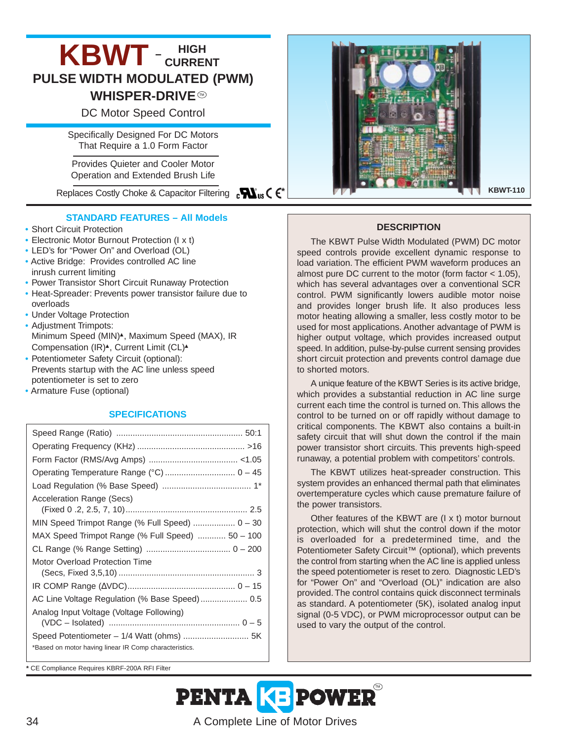# **KBWT** - CURRENT **PULSE WIDTH MODULATED (PWM) WHISPER-DRIVE®** DC Motor Speed Control

Specifically Designed For DC Motors That Require a 1.0 Form Factor

Provides Quieter and Cooler Motor Operation and Extended Brush Life

# **STANDARD FEATURES – All Models**

- Short Circuit Protection
- Electronic Motor Burnout Protection (I x t)
- LED's for "Power On" and Overload (OL)
- Active Bridge: Provides controlled AC line inrush current limiting
- Power Transistor Short Circuit Runaway Protection
- Heat-Spreader: Prevents power transistor failure due to overloads
- Under Voltage Protection
- Adjustment Trimpots: Minimum Speed (MIN)<sup>▲</sup>, Maximum Speed (MAX), IR Compensation (IR)<sup>▲</sup>, Current Limit (CL)<sup>▲</sup>
- Potentiometer Safety Circuit (optional): Prevents startup with the AC line unless speed potentiometer is set to zero
- Armature Fuse (optional)

### **SPECIFICATIONS**

| Operating Temperature Range (°C)  0 - 45               |
|--------------------------------------------------------|
|                                                        |
| Acceleration Range (Secs)                              |
|                                                        |
| MIN Speed Trimpot Range (% Full Speed) $0 - 30$        |
| MAX Speed Trimpot Range (% Full Speed)  50 - 100       |
|                                                        |
| Motor Overload Protection Time                         |
|                                                        |
|                                                        |
|                                                        |
| Analog Input Voltage (Voltage Following)               |
|                                                        |
|                                                        |
| *Based on motor having linear IR Comp characteristics. |
|                                                        |

Replaces Costly Choke & Capacitor Filtering **\* XL**<sup>n</sup>s (  $\epsilon^*$  **KBWT-110 CONTEXT KBWT-110** 

#### **DESCRIPTION**

The KBWT Pulse Width Modulated (PWM) DC motor speed controls provide excellent dynamic response to load variation. The efficient PWM waveform produces an almost pure DC current to the motor (form factor < 1.05), which has several advantages over a conventional SCR control. PWM significantly lowers audible motor noise and provides longer brush life. It also produces less motor heating allowing a smaller, less costly motor to be used for most applications. Another advantage of PWM is higher output voltage, which provides increased output speed. In addition, pulse-by-pulse current sensing provides short circuit protection and prevents control damage due to shorted motors.

A unique feature of the KBWT Series is its active bridge, which provides a substantial reduction in AC line surge current each time the control is turned on. This allows the control to be turned on or off rapidly without damage to critical components. The KBWT also contains a built-in safety circuit that will shut down the control if the main power transistor short circuits. This prevents high-speed runaway, a potential problem with competitors' controls.

The KBWT utilizes heat-spreader construction. This system provides an enhanced thermal path that eliminates overtemperature cycles which cause premature failure of the power transistors.

Other features of the KBWT are (I x t) motor burnout protection, which will shut the control down if the motor is overloaded for a predetermined time, and the Potentiometer Safety Circuit<sup>™</sup> (optional), which prevents the control from starting when the AC line is applied unless the speed potentiometer is reset to zero. Diagnostic LED's for "Power On" and "Overload (OL)" indication are also provided. The control contains quick disconnect terminals as standard. A potentiometer (5K), isolated analog input signal (0-5 VDC), or PWM microprocessor output can be used to vary the output of the control.

**\*** CE Compliance Requires KBRF-200A RFI Filter